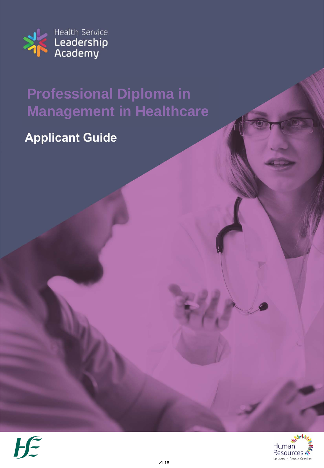

# **Professional Diploma in Management in Healthcare**

### **Applicant Guide**



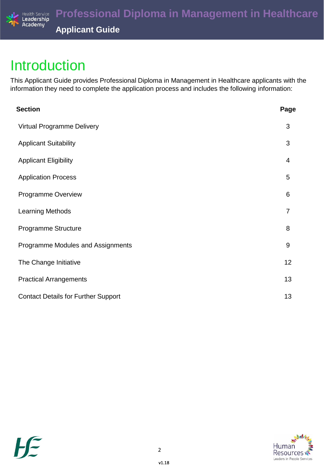

### Introduction

This Applicant Guide provides Professional Diploma in Management in Healthcare applicants with the information they need to complete the application process and includes the following information:

| Page             |
|------------------|
| 3                |
| 3                |
| 4                |
| 5                |
| 6                |
| $\overline{7}$   |
| 8                |
| $\boldsymbol{9}$ |
| 12               |
| 13               |
| 13               |
|                  |



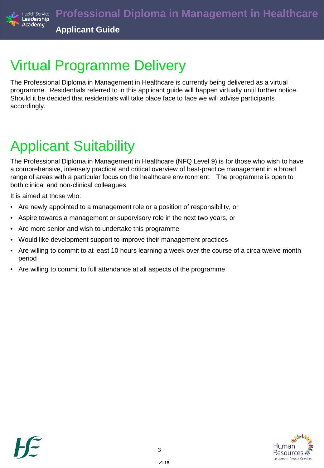

# Virtual Programme Delivery

The Professional Diploma in Management in Healthcare is currently being delivered as a virtual programme. Residentials referred to in this applicant guide will happen virtually until further notice. Should it be decided that residentials will take place face to face we will advise participants accordingly.

# Applicant Suitability

The Professional Diploma in Management in Healthcare (NFQ Level 9) is for those who wish to have a comprehensive, intensely practical and critical overview of best-practice management in a broad range of areas with a particular focus on the healthcare environment. The programme is open to both clinical and non-clinical colleagues.

It is aimed at those who:

- Are newly appointed to a management role or a position of responsibility, or
- Aspire towards a management or supervisory role in the next two years, or
- Are more senior and wish to undertake this programme
- Would like development support to improve their management practices
- Are willing to commit to at least 10 hours learning a week over the course of a circa twelve month period
- Are willing to commit to full attendance at all aspects of the programme

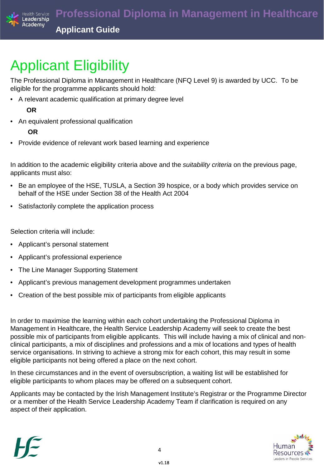

# Applicant Eligibility

The Professional Diploma in Management in Healthcare (NFQ Level 9) is awarded by UCC. To be eligible for the programme applicants should hold:

• A relevant academic qualification at primary degree level

### **OR**

• An equivalent professional qualification

### **OR**

• Provide evidence of relevant work based learning and experience

In addition to the academic eligibility criteria above and the *suitability criteria* on the previous page, applicants must also:

- Be an employee of the HSE, TUSLA, a Section 39 hospice, or a body which provides service on behalf of the HSE under Section 38 of the Health Act 2004
- Satisfactorily complete the application process

Selection criteria will include:

- Applicant's personal statement
- Applicant's professional experience
- The Line Manager Supporting Statement
- Applicant's previous management development programmes undertaken
- Creation of the best possible mix of participants from eligible applicants

In order to maximise the learning within each cohort undertaking the Professional Diploma in Management in Healthcare, the Health Service Leadership Academy will seek to create the best possible mix of participants from eligible applicants. This will include having a mix of clinical and nonclinical participants, a mix of disciplines and professions and a mix of locations and types of health service organisations. In striving to achieve a strong mix for each cohort, this may result in some eligible participants not being offered a place on the next cohort.

In these circumstances and in the event of oversubscription, a waiting list will be established for eligible participants to whom places may be offered on a subsequent cohort.

Applicants may be contacted by the Irish Management Institute's Registrar or the Programme Director or a member of the Health Service Leadership Academy Team if clarification is required on any aspect of their application.



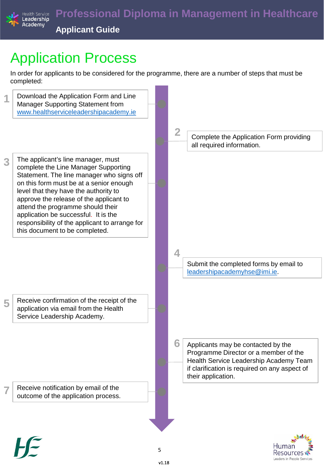

# Application Process

In order for applicants to be considered for the programme, there are a number of steps that must be completed:



Leaders in People Services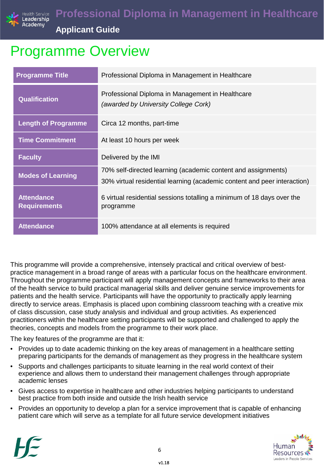

## Programme Overview

| <b>Programme Title</b>                   | Professional Diploma in Management in Healthcare                                                                                          |
|------------------------------------------|-------------------------------------------------------------------------------------------------------------------------------------------|
| <b>Qualification</b>                     | Professional Diploma in Management in Healthcare<br>(awarded by University College Cork)                                                  |
| <b>Length of Programme</b>               | Circa 12 months, part-time                                                                                                                |
| <b>Time Commitment</b>                   | At least 10 hours per week                                                                                                                |
| <b>Faculty</b>                           | Delivered by the IMI                                                                                                                      |
| <b>Modes of Learning</b>                 | 70% self-directed learning (academic content and assignments)<br>30% virtual residential learning (academic content and peer interaction) |
| <b>Attendance</b><br><b>Requirements</b> | 6 virtual residential sessions totalling a minimum of 18 days over the<br>programme                                                       |
| <b>Attendance</b>                        | 100% attendance at all elements is required                                                                                               |

This programme will provide a comprehensive, intensely practical and critical overview of bestpractice management in a broad range of areas with a particular focus on the healthcare environment. Throughout the programme participant will apply management concepts and frameworks to their area of the health service to build practical managerial skills and deliver genuine service improvements for patients and the health service. Participants will have the opportunity to practically apply learning directly to service areas. Emphasis is placed upon combining classroom teaching with a creative mix of class discussion, case study analysis and individual and group activities. As experienced practitioners within the healthcare setting participants will be supported and challenged to apply the theories, concepts and models from the programme to their work place.

The key features of the programme are that it:

- Provides up to date academic thinking on the key areas of management in a healthcare setting preparing participants for the demands of management as they progress in the healthcare system
- Supports and challenges participants to situate learning in the real world context of their experience and allows them to understand their management challenges through appropriate academic lenses
- Gives access to expertise in healthcare and other industries helping participants to understand best practice from both inside and outside the Irish health service
- Provides an opportunity to develop a plan for a service improvement that is capable of enhancing patient care which will serve as a template for all future service development initiatives



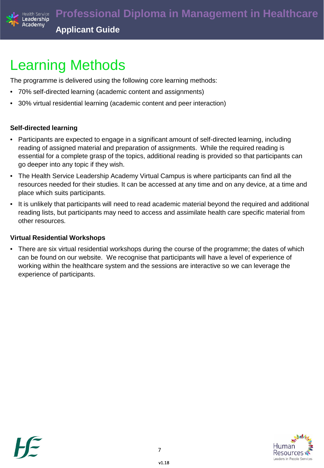

## Learning Methods

The programme is delivered using the following core learning methods:

- 70% self-directed learning (academic content and assignments)
- 30% virtual residential learning (academic content and peer interaction)

### **Self-directed learning**

- Participants are expected to engage in a significant amount of self-directed learning, including reading of assigned material and preparation of assignments. While the required reading is essential for a complete grasp of the topics, additional reading is provided so that participants can go deeper into any topic if they wish.
- The Health Service Leadership Academy Virtual Campus is where participants can find all the resources needed for their studies. It can be accessed at any time and on any device, at a time and place which suits participants.
- It is unlikely that participants will need to read academic material beyond the required and additional reading lists, but participants may need to access and assimilate health care specific material from other resources*.*

#### **Virtual Residential Workshops**

• There are six virtual residential workshops during the course of the programme; the dates of which can be found on our website. We recognise that participants will have a level of experience of working within the healthcare system and the sessions are interactive so we can leverage the experience of participants.



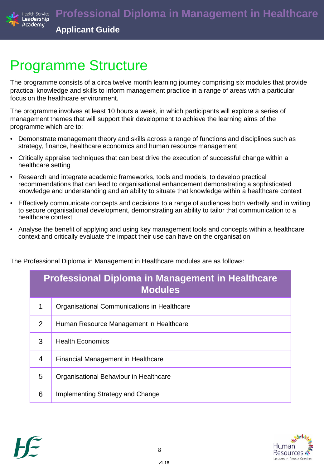

### Programme Structure

The programme consists of a circa twelve month learning journey comprising six modules that provide practical knowledge and skills to inform management practice in a range of areas with a particular focus on the healthcare environment.

The programme involves at least 10 hours a week, in which participants will explore a series of management themes that will support their development to achieve the learning aims of the programme which are to:

- Demonstrate management theory and skills across a range of functions and disciplines such as strategy, finance, healthcare economics and human resource management
- Critically appraise techniques that can best drive the execution of successful change within a healthcare setting
- Research and integrate academic frameworks, tools and models, to develop practical recommendations that can lead to organisational enhancement demonstrating a sophisticated knowledge and understanding and an ability to situate that knowledge within a healthcare context
- Effectively communicate concepts and decisions to a range of audiences both verbally and in writing to secure organisational development, demonstrating an ability to tailor that communication to a healthcare context
- Analyse the benefit of applying and using key management tools and concepts within a healthcare context and critically evaluate the impact their use can have on the organisation

The Professional Diploma in Management in Healthcare modules are as follows:

| <b>Professional Diploma in Management in Healthcare</b><br><b>Modules</b> |                                             |  |  |
|---------------------------------------------------------------------------|---------------------------------------------|--|--|
| 1                                                                         | Organisational Communications in Healthcare |  |  |
| 2                                                                         | Human Resource Management in Healthcare     |  |  |
| 3                                                                         | <b>Health Economics</b>                     |  |  |
| 4                                                                         | <b>Financial Management in Healthcare</b>   |  |  |
| 5                                                                         | Organisational Behaviour in Healthcare      |  |  |
| 6                                                                         | Implementing Strategy and Change            |  |  |



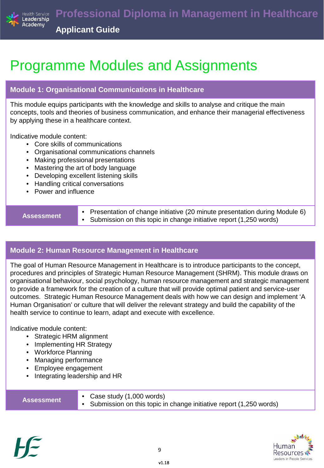

## Programme Modules and Assignments

### **Module 1: Organisational Communications in Healthcare**

This module equips participants with the knowledge and skills to analyse and critique the main concepts, tools and theories of business communication, and enhance their managerial effectiveness by applying these in a healthcare context.

Indicative module content:

- Core skills of communications
- Organisational communications channels
- Making professional presentations
- Mastering the art of body language
- Developing excellent listening skills
- Handling critical conversations
- Power and influence

**Assessment** • Presentation of change initiative (20 minute presentation during Module 6)<br>• Submission on this topic in change initiative report (1.250 words) Submission on this topic in change initiative report (1,250 words)

### **Module 2: Human Resource Management in Healthcare**

The goal of Human Resource Management in Healthcare is to introduce participants to the concept, procedures and principles of Strategic Human Resource Management (SHRM). This module draws on organisational behaviour, social psychology, human resource management and strategic management to provide a framework for the creation of a culture that will provide optimal patient and service-user outcomes. Strategic Human Resource Management deals with how we can design and implement 'A Human Organisation' or culture that will deliver the relevant strategy and build the capability of the health service to continue to learn, adapt and execute with excellence.

Indicative module content:

- Strategic HRM alignment
- Implementing HR Strategy
- Workforce Planning
- Managing performance
- Employee engagement
- Integrating leadership and HR

| <b>Assessment</b> | • Case study $(1,000$ words)<br>• Submission on this topic in change initiative report (1,250 words) |
|-------------------|------------------------------------------------------------------------------------------------------|
|                   |                                                                                                      |



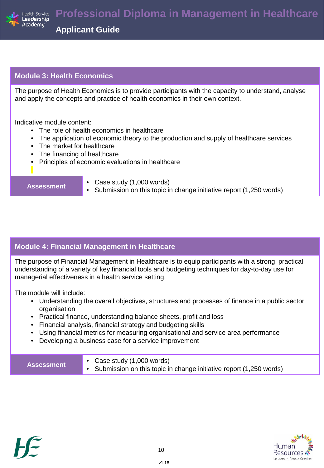

#### **Module 3: Health Economics**

The purpose of Health Economics is to provide participants with the capacity to understand, analyse and apply the concepts and practice of health economics in their own context.

Indicative module content:

- The role of health economics in healthcare
- The application of economic theory to the production and supply of healthcare services
- The market for healthcare
- The financing of healthcare
- Principles of economic evaluations in healthcare

- **Assessment** Case study (1,000 words)
	- Submission on this topic in change initiative report (1,250 words)

### **Module 4: Financial Management in Healthcare**

The purpose of Financial Management in Healthcare is to equip participants with a strong, practical understanding of a variety of key financial tools and budgeting techniques for day-to-day use for managerial effectiveness in a health service setting.

The module will include:

- Understanding the overall objectives, structures and processes of finance in a public sector organisation
- Practical finance, understanding balance sheets, profit and loss
- Financial analysis, financial strategy and budgeting skills
- Using financial metrics for measuring organisational and service area performance
- Developing a business case for a service improvement

| <b>Assessment</b> | • Case study $(1,000$ words)<br>• Submission on this topic in change initiative report (1,250 words) |
|-------------------|------------------------------------------------------------------------------------------------------|
|-------------------|------------------------------------------------------------------------------------------------------|



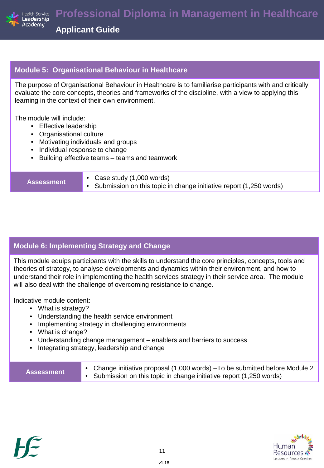

#### **Module 5: Organisational Behaviour in Healthcare**

The purpose of Organisational Behaviour in Healthcare is to familiarise participants with and critically evaluate the core concepts, theories and frameworks of the discipline, with a view to applying this learning in the context of their own environment.

The module will include:

- Effective leadership
- Organisational culture
- Motivating individuals and groups
- Individual response to change
- Building effective teams teams and teamwork

- **Assessment** Case study (1,000 words)
	- Submission on this topic in change initiative report (1,250 words)

### **Module 6: Implementing Strategy and Change**

This module equips participants with the skills to understand the core principles, concepts, tools and theories of strategy, to analyse developments and dynamics within their environment, and how to understand their role in implementing the health services strategy in their service area. The module will also deal with the challenge of overcoming resistance to change.

Indicative module content:

- What is strategy?
- Understanding the health service environment
- Implementing strategy in challenging environments
- What is change?
- Understanding change management enablers and barriers to success
- Integrating strategy, leadership and change

| <b>Assessment</b> | • Change initiative proposal (1,000 words) - To be submitted before Module 2<br>• Submission on this topic in change initiative report (1,250 words) |
|-------------------|------------------------------------------------------------------------------------------------------------------------------------------------------|
|-------------------|------------------------------------------------------------------------------------------------------------------------------------------------------|



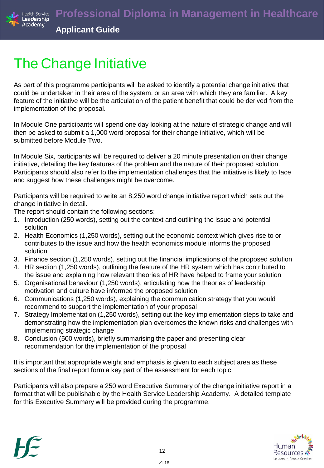

# The Change Initiative

As part of this programme participants will be asked to identify a potential change initiative that could be undertaken in their area of the system, or an area with which they are familiar. A key feature of the initiative will be the articulation of the patient benefit that could be derived from the implementation of the proposal.

In Module One participants will spend one day looking at the nature of strategic change and will then be asked to submit a 1,000 word proposal for their change initiative, which will be submitted before Module Two.

In Module Six, participants will be required to deliver a 20 minute presentation on their change initiative, detailing the key features of the problem and the nature of their proposed solution. Participants should also refer to the implementation challenges that the initiative is likely to face and suggest how these challenges might be overcome.

Participants will be required to write an 8,250 word change initiative report which sets out the change initiative in detail.

The report should contain the following sections:

- 1. Introduction (250 words), setting out the context and outlining the issue and potential solution
- 2. Health Economics (1,250 words), setting out the economic context which gives rise to or contributes to the issue and how the health economics module informs the proposed solution
- 3. Finance section (1,250 words), setting out the financial implications of the proposed solution
- 4. HR section (1,250 words), outlining the feature of the HR system which has contributed to the issue and explaining how relevant theories of HR have helped to frame your solution
- 5. Organisational behaviour (1,250 words), articulating how the theories of leadership, motivation and culture have informed the proposed solution
- 6. Communications (1,250 words), explaining the communication strategy that you would recommend to support the implementation of your proposal
- 7. Strategy Implementation (1,250 words), setting out the key implementation steps to take and demonstrating how the implementation plan overcomes the known risks and challenges with implementing strategic change
- 8. Conclusion (500 words), briefly summarising the paper and presenting clear recommendation for the implementation of the proposal

It is important that appropriate weight and emphasis is given to each subject area as these sections of the final report form a key part of the assessment for each topic.

Participants will also prepare a 250 word Executive Summary of the change initiative report in a format that will be publishable by the Health Service Leadership Academy. A detailed template for this Executive Summary will be provided during the programme.